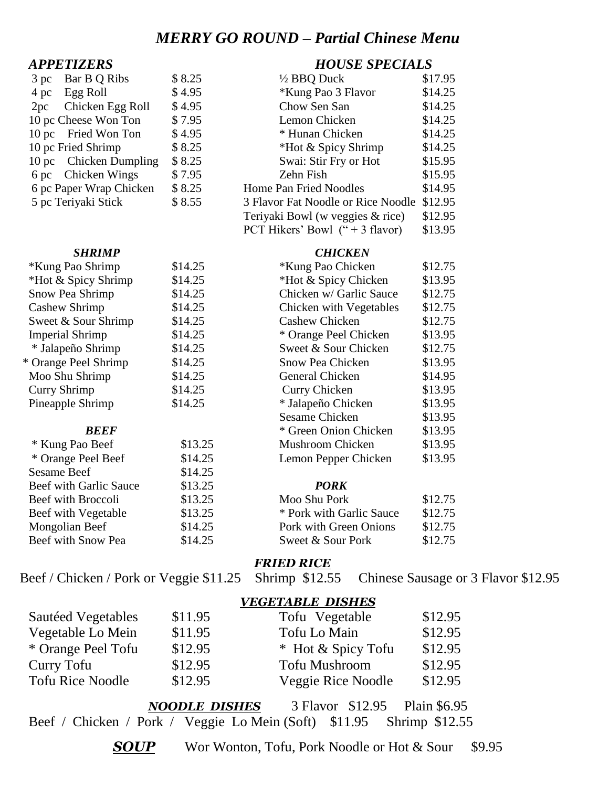## *MERRY GO ROUND – Partial Chinese Menu*

| $3$ pc | Bar B Q Ribs            | \$8.2 |
|--------|-------------------------|-------|
|        | 4 pc Egg Roll           | \$4.9 |
|        | 2pc Chicken Egg Roll    | \$4.9 |
|        | 10 pc Cheese Won Ton    | \$7.9 |
|        | 10 pc Fried Won Ton     | \$4.9 |
|        | 10 pc Fried Shrimp      | \$8.2 |
|        | 10 pc Chicken Dumpling  | \$8.2 |
|        | 6 pc Chicken Wings      | \$7.9 |
|        | 6 pc Paper Wrap Chicken | \$8.2 |
|        | 5 pc Teriyaki Stick     | \$8.5 |
|        |                         |       |

| *Kung Pao Shrimp       | \$14.25 |  |
|------------------------|---------|--|
| *Hot & Spicy Shrimp    | \$14.25 |  |
| Snow Pea Shrimp        | \$14.25 |  |
| Cashew Shrimp          | \$14.25 |  |
| Sweet & Sour Shrimp    | \$14.25 |  |
| <b>Imperial Shrimp</b> | \$14.25 |  |
| * Jalapeño Shrimp      | \$14.25 |  |
| * Orange Peel Shrimp   | \$14.25 |  |
| Moo Shu Shrimp         | \$14.25 |  |
| Curry Shrimp           | \$14.25 |  |
| Pineapple Shrimp       | \$14.25 |  |
|                        |         |  |

| * Kung Pao Beef               | \$13.25 | Mushroom Ch     |
|-------------------------------|---------|-----------------|
| * Orange Peel Beef            | \$14.25 | Lemon Pepper    |
| <b>Sesame Beef</b>            | \$14.25 |                 |
| <b>Beef with Garlic Sauce</b> | \$13.25 | <b>PORK</b>     |
| Beef with Broccoli            | \$13.25 | Moo Shu Pork    |
| Beef with Vegetable           | \$13.25 | * Pork with G   |
| Mongolian Beef                | \$14.25 | Pork with Gre   |
| <b>Beef with Snow Pea</b>     | \$14.25 | Sweet $\&$ Sour |

## *APPETIZERS HOUSE SPECIALS*

|          | \$8.25                                                                                                                                                                                                  |                                    | \$17.95                |
|----------|---------------------------------------------------------------------------------------------------------------------------------------------------------------------------------------------------------|------------------------------------|------------------------|
| Egg Roll | \$4.95                                                                                                                                                                                                  | <i><b>*Kung Pao 3 Flavor</b></i>   | \$14.25                |
|          | \$4.95                                                                                                                                                                                                  | Chow Sen San                       | \$14.25                |
|          | \$7.95                                                                                                                                                                                                  | Lemon Chicken                      | \$14.25                |
|          | \$4.95                                                                                                                                                                                                  | * Hunan Chicken                    | \$14.25                |
|          | \$8.25                                                                                                                                                                                                  | *Hot & Spicy Shrimp                | \$14.25                |
|          | \$8.25                                                                                                                                                                                                  | Swai: Stir Fry or Hot              | \$15.95                |
|          | \$7.95                                                                                                                                                                                                  | Zehn Fish                          | \$15.95                |
|          | \$8.25                                                                                                                                                                                                  | Home Pan Fried Noodles             | \$14.95                |
|          | \$8.55                                                                                                                                                                                                  | 3 Flavor Fat Noodle or Rice Noodle | \$12.95                |
|          |                                                                                                                                                                                                         | Teriyaki Bowl (w veggies & rice)   | \$12.95                |
|          |                                                                                                                                                                                                         | PCT Hikers' Bowl $(4 + 3$ flavor)  | \$13.95                |
|          | Bar B Q Ribs<br>Chicken Egg Roll<br>10 pc Cheese Won Ton<br>10 pc Fried Won Ton<br>10 pc Fried Shrimp<br>10 pc Chicken Dumpling<br>6 pc Chicken Wings<br>6 pc Paper Wrap Chicken<br>5 pc Teriyaki Stick |                                    | $\frac{1}{2}$ BBQ Duck |

#### *SHRIMP CHICKEN*

\*Kung Pao Shrimp \$14.25 \*Kung Pao Chicken \$12.75

| *Hot & Spicy Shrimp    | \$14.25 | *Hot & Spicy Chicken    | \$13.95 |
|------------------------|---------|-------------------------|---------|
| Snow Pea Shrimp        | \$14.25 | Chicken w/ Garlic Sauce | \$12.75 |
| Cashew Shrimp          | \$14.25 | Chicken with Vegetables | \$12.75 |
| Sweet & Sour Shrimp    | \$14.25 | <b>Cashew Chicken</b>   | \$12.75 |
| <b>Imperial Shrimp</b> | \$14.25 | * Orange Peel Chicken   | \$13.95 |
| * Jalapeño Shrimp      | \$14.25 | Sweet & Sour Chicken    | \$12.75 |
| * Orange Peel Shrimp   | \$14.25 | <b>Snow Pea Chicken</b> | \$13.95 |
| Moo Shu Shrimp         | \$14.25 | General Chicken         | \$14.95 |
| Curry Shrimp           | \$14.25 | Curry Chicken           | \$13.95 |
| Pineapple Shrimp       | \$14.25 | * Jalapeño Chicken      | \$13.95 |
|                        |         | <b>Sesame Chicken</b>   | \$13.95 |
| <b>BEEF</b>            |         | * Green Onion Chicken   | \$13.95 |
| * Kung Pao Beef        | \$13.25 | Mushroom Chicken        | \$13.95 |
| * Orange Peel Beef     | \$14.25 | Lemon Pepper Chicken    | \$13.95 |
| <b>Sesame Beef</b>     | \$14.25 |                         |         |
| Beef with Garlic Sauce | \$13.25 | <b>PORK</b>             |         |
| Beef with Broccoli     | \$13.25 | Moo Shu Pork            | \$12.75 |
|                        |         |                         |         |

| DEEL WIUI DIOCCOIL  | 013.25  | <b>NIOO SHU FOIK</b>     | J12.1J  |
|---------------------|---------|--------------------------|---------|
| Beef with Vegetable | \$13.25 | * Pork with Garlic Sauce | \$12.75 |
| Mongolian Beef      | \$14.25 | Pork with Green Onions   | \$12.75 |
| Beef with Snow Pea  | \$14.25 | Sweet & Sour Pork        | \$12.75 |
|                     |         |                          |         |

#### *FRIED RICE*

### Beef / Chicken / Pork or Veggie \$11.25 Shrimp \$12.55 Chinese Sausage or 3 Flavor \$12.95

#### *VEGETABLE DISHES*

| Sautéed Vegetables      | \$11.95 | Tofu Vegetable       | \$12.95 |
|-------------------------|---------|----------------------|---------|
| Vegetable Lo Mein       | \$11.95 | Tofu Lo Main         | \$12.95 |
| * Orange Peel Tofu      | \$12.95 | * Hot & Spicy Tofu   | \$12.95 |
| Curry Tofu              | \$12.95 | <b>Tofu Mushroom</b> | \$12.95 |
| <b>Tofu Rice Noodle</b> | \$12.95 | Veggie Rice Noodle   | \$12.95 |

*NOODLE DISHES* 3 Flavor \$12.95 Plain \$6.95 Beef / Chicken / Pork / Veggie Lo Mein (Soft) \$11.95 Shrimp \$12.55

**SOUP** Wor Wonton, Tofu, Pork Noodle or Hot & Sour \$9.95